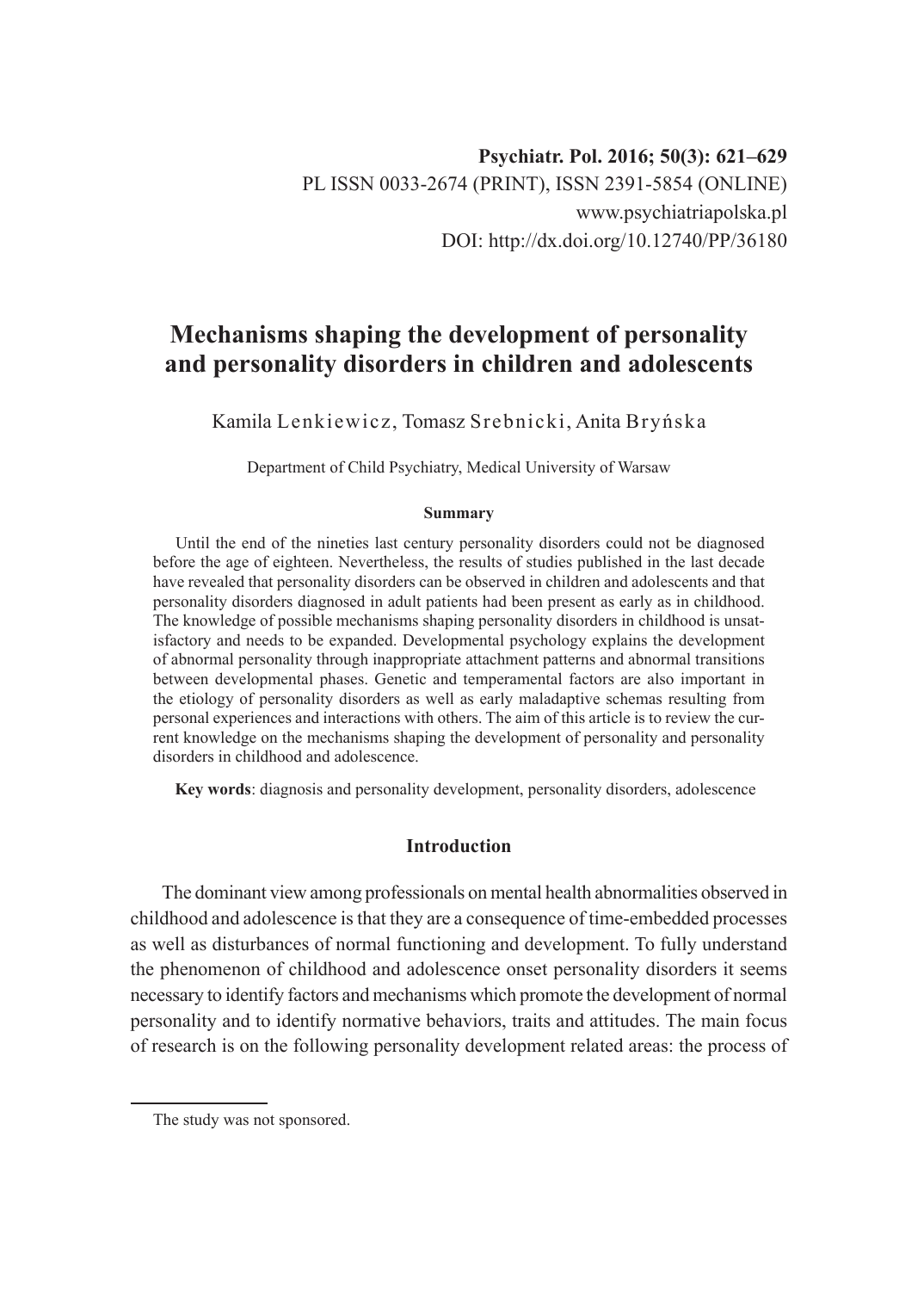# **Mechanisms shaping the development of personality and personality disorders in children and adolescents**

Kamila Lenkiewicz, Tomasz Srebnicki, Anita Bryńska

Department of Child Psychiatry, Medical University of Warsaw

#### **Summary**

Until the end of the nineties last century personality disorders could not be diagnosed before the age of eighteen. Nevertheless, the results of studies published in the last decade have revealed that personality disorders can be observed in children and adolescents and that personality disorders diagnosed in adult patients had been present as early as in childhood. The knowledge of possible mechanisms shaping personality disorders in childhood is unsatisfactory and needs to be expanded. Developmental psychology explains the development of abnormal personality through inappropriate attachment patterns and abnormal transitions between developmental phases. Genetic and temperamental factors are also important in the etiology of personality disorders as well as early maladaptive schemas resulting from personal experiences and interactions with others. The aim of this article is to review the current knowledge on the mechanisms shaping the development of personality and personality disorders in childhood and adolescence.

**Key words**: diagnosis and personality development, personality disorders, adolescence

## **Introduction**

The dominant view among professionals on mental health abnormalities observed in childhood and adolescence is that they are a consequence of time-embedded processes as well as disturbances of normal functioning and development. To fully understand the phenomenon of childhood and adolescence onset personality disorders it seems necessary to identify factors and mechanisms which promote the development of normal personality and to identify normative behaviors, traits and attitudes. The main focus of research is on the following personality development related areas: the process of

The study was not sponsored.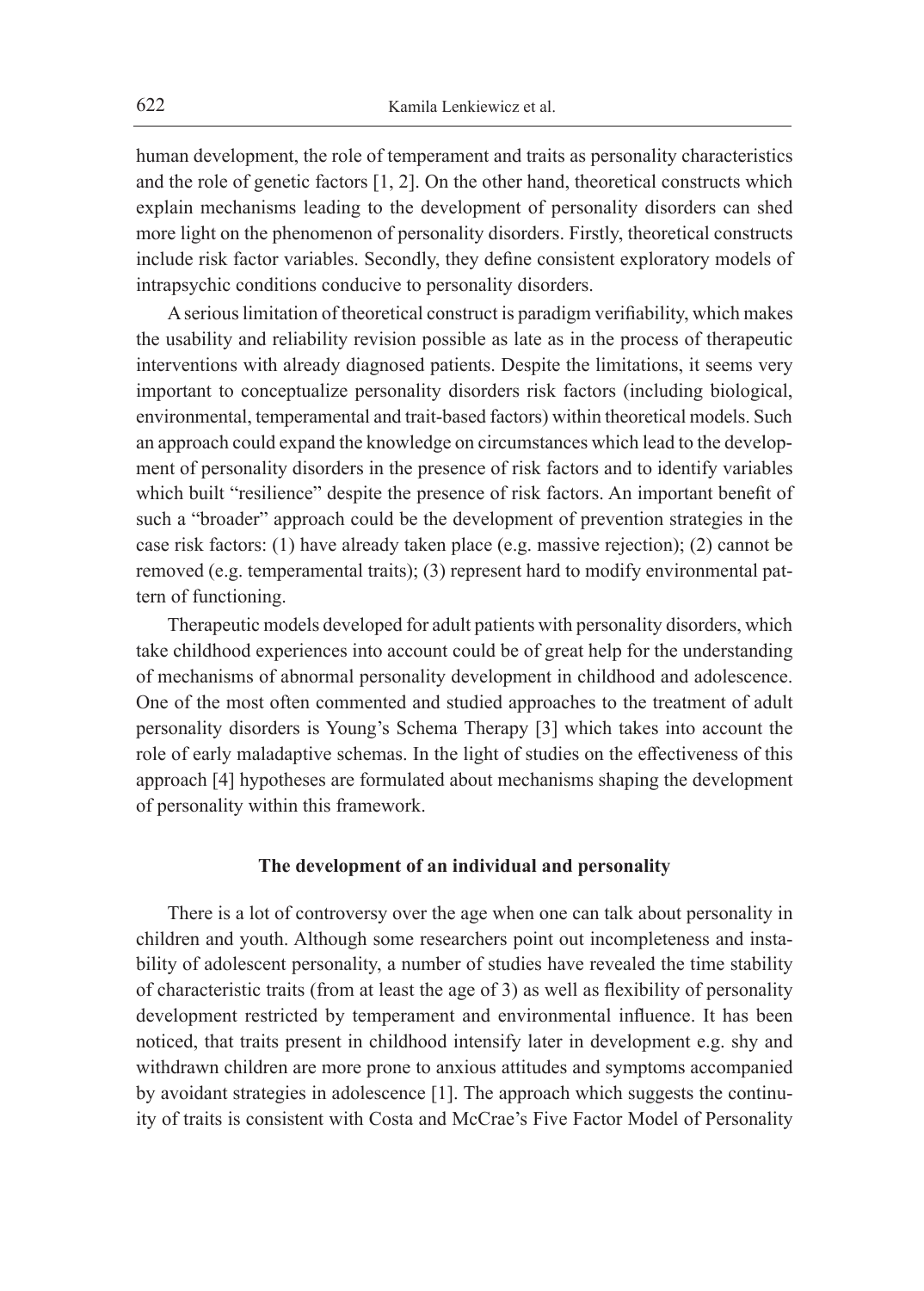human development, the role of temperament and traits as personality characteristics and the role of genetic factors [1, 2]. On the other hand, theoretical constructs which explain mechanisms leading to the development of personality disorders can shed more light on the phenomenon of personality disorders. Firstly, theoretical constructs include risk factor variables. Secondly, they define consistent exploratory models of intrapsychic conditions conducive to personality disorders.

A serious limitation of theoretical construct is paradigm verifiability, which makes the usability and reliability revision possible as late as in the process of therapeutic interventions with already diagnosed patients. Despite the limitations, it seems very important to conceptualize personality disorders risk factors (including biological, environmental, temperamental and trait-based factors) within theoretical models. Such an approach could expand the knowledge on circumstances which lead to the development of personality disorders in the presence of risk factors and to identify variables which built "resilience" despite the presence of risk factors. An important benefit of such a "broader" approach could be the development of prevention strategies in the case risk factors: (1) have already taken place (e.g. massive rejection); (2) cannot be removed (e.g. temperamental traits); (3) represent hard to modify environmental pattern of functioning.

Therapeutic models developed for adult patients with personality disorders, which take childhood experiences into account could be of great help for the understanding of mechanisms of abnormal personality development in childhood and adolescence. One of the most often commented and studied approaches to the treatment of adult personality disorders is Young's Schema Therapy [3] which takes into account the role of early maladaptive schemas. In the light of studies on the effectiveness of this approach [4] hypotheses are formulated about mechanisms shaping the development of personality within this framework.

### **The development of an individual and personality**

There is a lot of controversy over the age when one can talk about personality in children and youth. Although some researchers point out incompleteness and instability of adolescent personality, a number of studies have revealed the time stability of characteristic traits (from at least the age of 3) as well as flexibility of personality development restricted by temperament and environmental influence. It has been noticed, that traits present in childhood intensify later in development e.g. shy and withdrawn children are more prone to anxious attitudes and symptoms accompanied by avoidant strategies in adolescence [1]. The approach which suggests the continuity of traits is consistent with Costa and McCrae's Five Factor Model of Personality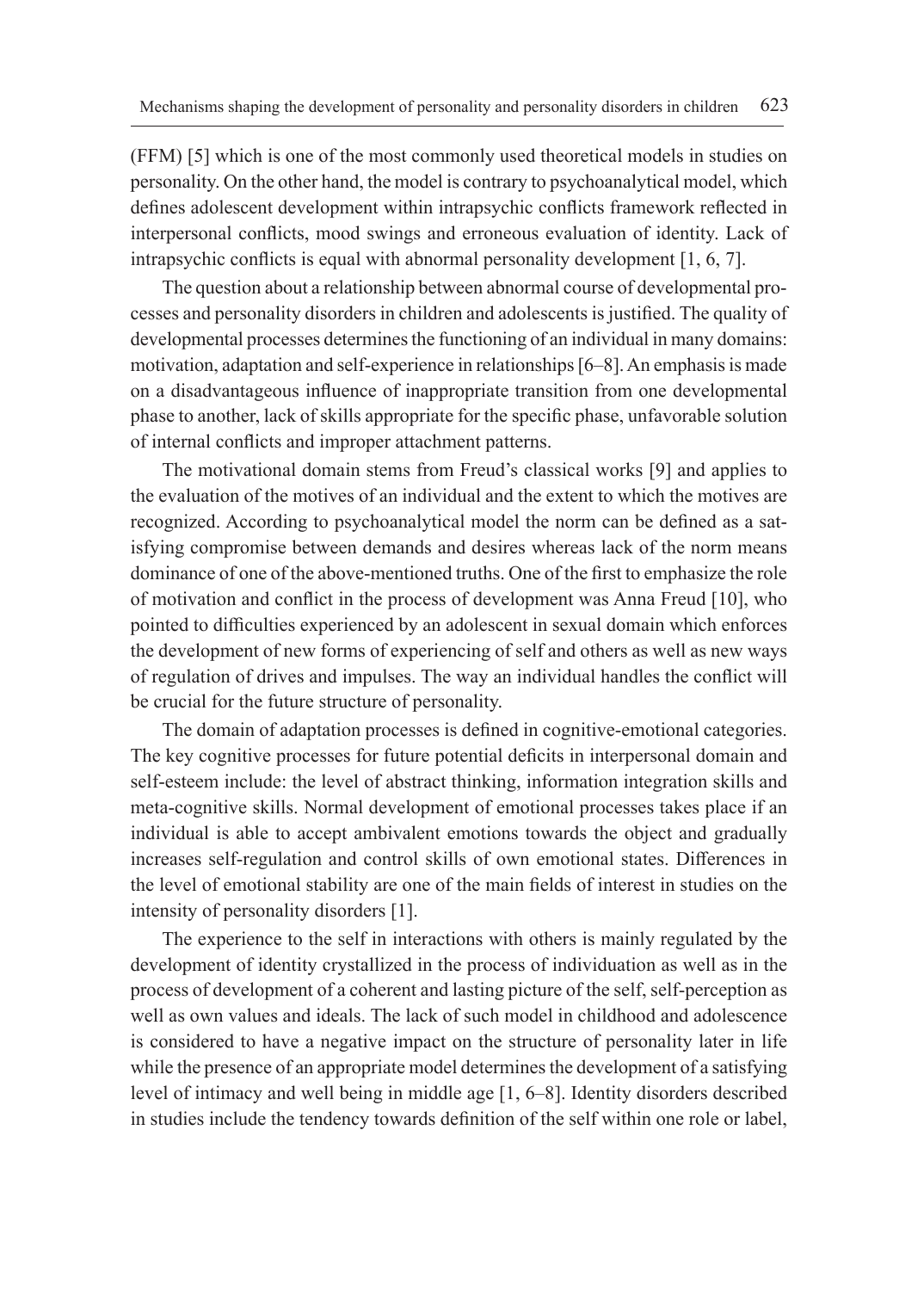(FFM) [5] which is one of the most commonly used theoretical models in studies on personality. On the other hand, the model is contrary to psychoanalytical model, which defines adolescent development within intrapsychic conflicts framework reflected in interpersonal conflicts, mood swings and erroneous evaluation of identity. Lack of intrapsychic conflicts is equal with abnormal personality development [1, 6, 7].

The question about a relationship between abnormal course of developmental processes and personality disorders in children and adolescents is justified. The quality of developmental processes determines the functioning of an individual in many domains: motivation, adaptation and self-experience in relationships [6–8]. An emphasis is made on a disadvantageous influence of inappropriate transition from one developmental phase to another, lack of skills appropriate for the specific phase, unfavorable solution of internal conflicts and improper attachment patterns.

The motivational domain stems from Freud's classical works [9] and applies to the evaluation of the motives of an individual and the extent to which the motives are recognized. According to psychoanalytical model the norm can be defined as a satisfying compromise between demands and desires whereas lack of the norm means dominance of one of the above-mentioned truths. One of the first to emphasize the role of motivation and conflict in the process of development was Anna Freud [10], who pointed to difficulties experienced by an adolescent in sexual domain which enforces the development of new forms of experiencing of self and others as well as new ways of regulation of drives and impulses. The way an individual handles the conflict will be crucial for the future structure of personality.

The domain of adaptation processes is defined in cognitive-emotional categories. The key cognitive processes for future potential deficits in interpersonal domain and self-esteem include: the level of abstract thinking, information integration skills and meta-cognitive skills. Normal development of emotional processes takes place if an individual is able to accept ambivalent emotions towards the object and gradually increases self-regulation and control skills of own emotional states. Differences in the level of emotional stability are one of the main fields of interest in studies on the intensity of personality disorders [1].

The experience to the self in interactions with others is mainly regulated by the development of identity crystallized in the process of individuation as well as in the process of development of a coherent and lasting picture of the self, self-perception as well as own values and ideals. The lack of such model in childhood and adolescence is considered to have a negative impact on the structure of personality later in life while the presence of an appropriate model determines the development of a satisfying level of intimacy and well being in middle age [1, 6–8]. Identity disorders described in studies include the tendency towards definition of the self within one role or label,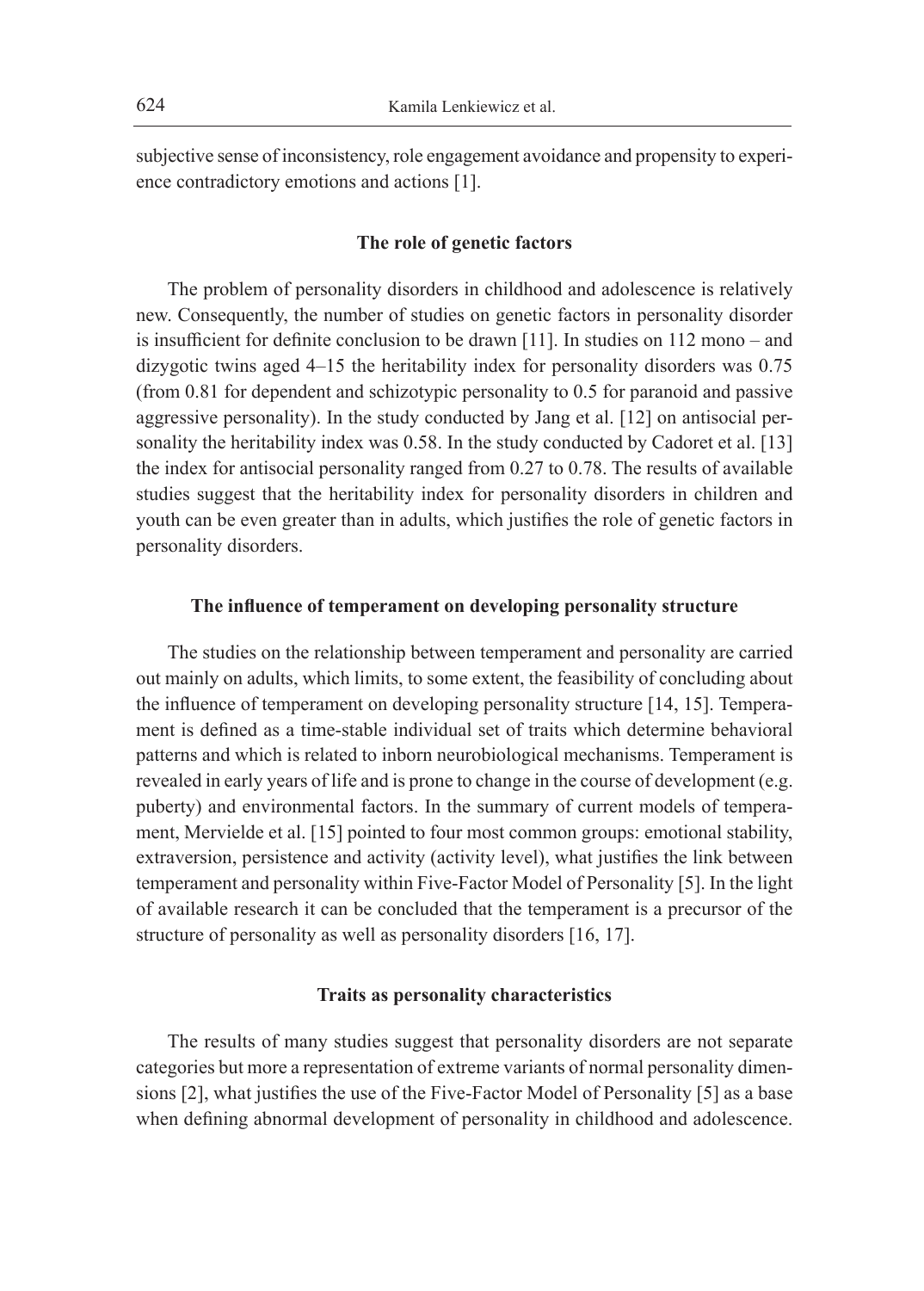subjective sense of inconsistency, role engagement avoidance and propensity to experience contradictory emotions and actions [1].

## **The role of genetic factors**

The problem of personality disorders in childhood and adolescence is relatively new. Consequently, the number of studies on genetic factors in personality disorder is insufficient for definite conclusion to be drawn [11]. In studies on 112 mono – and dizygotic twins aged 4–15 the heritability index for personality disorders was 0.75 (from 0.81 for dependent and schizotypic personality to 0.5 for paranoid and passive aggressive personality). In the study conducted by Jang et al. [12] on antisocial personality the heritability index was 0.58. In the study conducted by Cadoret et al. [13] the index for antisocial personality ranged from 0.27 to 0.78. The results of available studies suggest that the heritability index for personality disorders in children and youth can be even greater than in adults, which justifies the role of genetic factors in personality disorders.

### **The influence of temperament on developing personality structure**

The studies on the relationship between temperament and personality are carried out mainly on adults, which limits, to some extent, the feasibility of concluding about the influence of temperament on developing personality structure [14, 15]. Temperament is defined as a time-stable individual set of traits which determine behavioral patterns and which is related to inborn neurobiological mechanisms. Temperament is revealed in early years of life and is prone to change in the course of development (e.g. puberty) and environmental factors. In the summary of current models of temperament, Mervielde et al. [15] pointed to four most common groups: emotional stability, extraversion, persistence and activity (activity level), what justifies the link between temperament and personality within Five-Factor Model of Personality [5]. In the light of available research it can be concluded that the temperament is a precursor of the structure of personality as well as personality disorders [16, 17].

### **Traits as personality characteristics**

The results of many studies suggest that personality disorders are not separate categories but more a representation of extreme variants of normal personality dimensions [2], what justifies the use of the Five-Factor Model of Personality [5] as a base when defining abnormal development of personality in childhood and adolescence.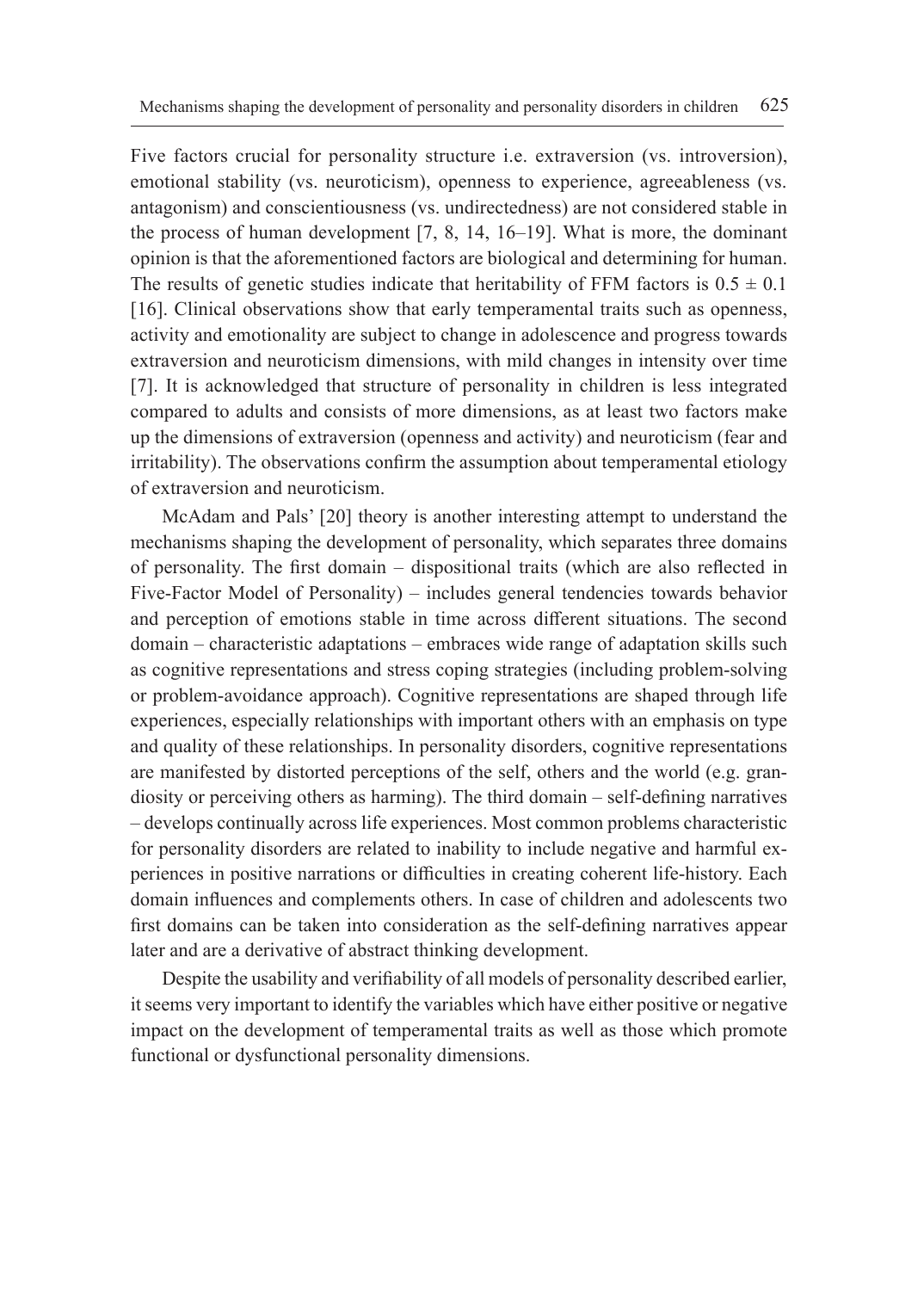Five factors crucial for personality structure i.e. extraversion (vs. introversion), emotional stability (vs. neuroticism), openness to experience, agreeableness (vs. antagonism) and conscientiousness (vs. undirectedness) are not considered stable in the process of human development [7, 8, 14, 16–19]. What is more, the dominant opinion is that the aforementioned factors are biological and determining for human. The results of genetic studies indicate that heritability of FFM factors is  $0.5 \pm 0.1$ [16]. Clinical observations show that early temperamental traits such as openness, activity and emotionality are subject to change in adolescence and progress towards extraversion and neuroticism dimensions, with mild changes in intensity over time [7]. It is acknowledged that structure of personality in children is less integrated compared to adults and consists of more dimensions, as at least two factors make up the dimensions of extraversion (openness and activity) and neuroticism (fear and irritability). The observations confirm the assumption about temperamental etiology of extraversion and neuroticism.

McAdam and Pals' [20] theory is another interesting attempt to understand the mechanisms shaping the development of personality, which separates three domains of personality. The first domain – dispositional traits (which are also reflected in Five-Factor Model of Personality) – includes general tendencies towards behavior and perception of emotions stable in time across different situations. The second domain – characteristic adaptations – embraces wide range of adaptation skills such as cognitive representations and stress coping strategies (including problem-solving or problem-avoidance approach). Cognitive representations are shaped through life experiences, especially relationships with important others with an emphasis on type and quality of these relationships. In personality disorders, cognitive representations are manifested by distorted perceptions of the self, others and the world (e.g. grandiosity or perceiving others as harming). The third domain – self-defining narratives *–* develops continually across life experiences. Most common problems characteristic for personality disorders are related to inability to include negative and harmful experiences in positive narrations or difficulties in creating coherent life-history. Each domain influences and complements others. In case of children and adolescents two first domains can be taken into consideration as the self-defining narratives appear later and are a derivative of abstract thinking development.

Despite the usability and verifiability of all models of personality described earlier, it seems very important to identify the variables which have either positive or negative impact on the development of temperamental traits as well as those which promote functional or dysfunctional personality dimensions.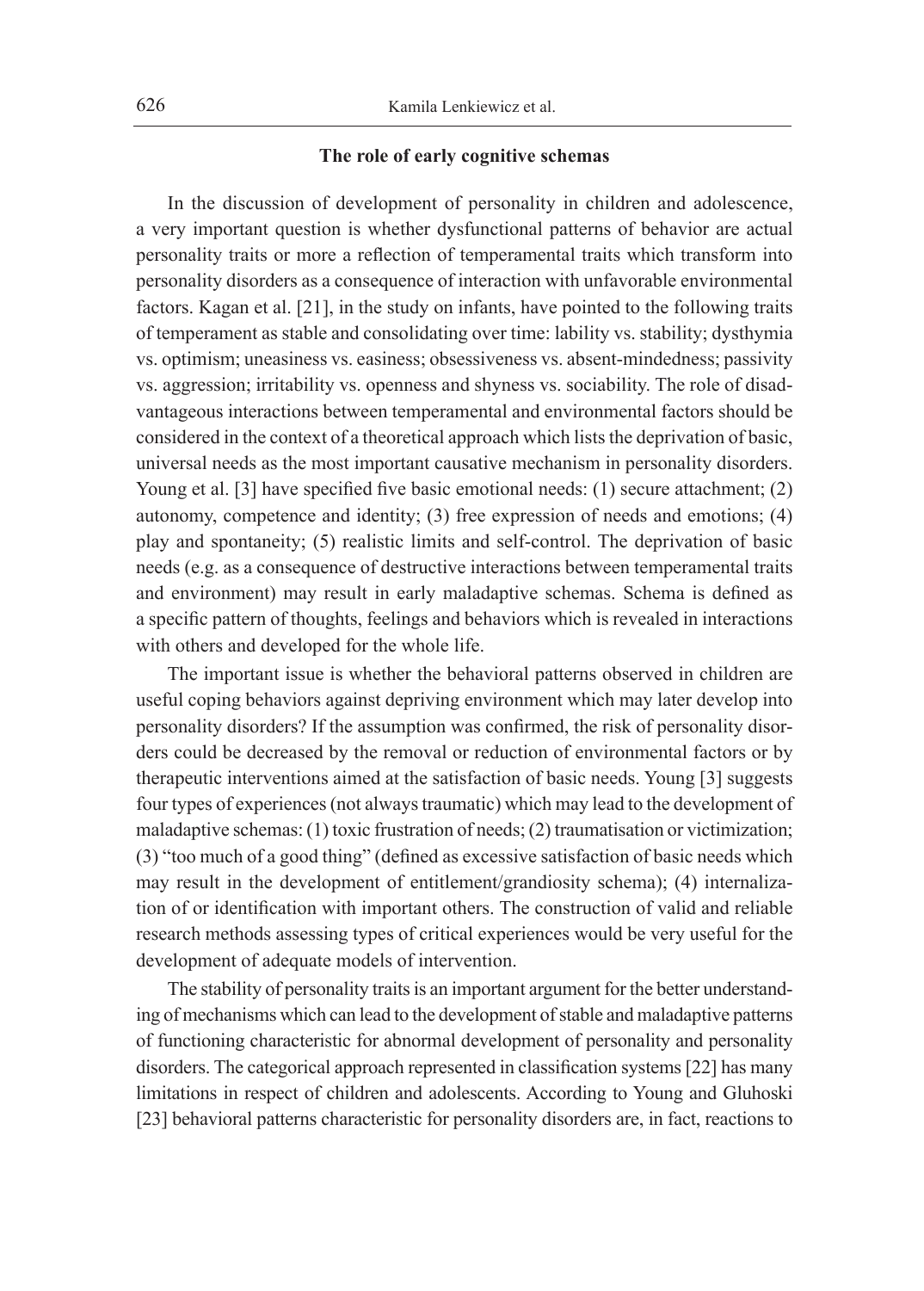## **The role of early cognitive schemas**

In the discussion of development of personality in children and adolescence, a very important question is whether dysfunctional patterns of behavior are actual personality traits or more a reflection of temperamental traits which transform into personality disorders as a consequence of interaction with unfavorable environmental factors. Kagan et al. [21], in the study on infants, have pointed to the following traits of temperament as stable and consolidating over time: lability vs. stability; dysthymia vs. optimism; uneasiness vs. easiness; obsessiveness vs. absent-mindedness; passivity vs. aggression; irritability vs. openness and shyness vs. sociability. The role of disadvantageous interactions between temperamental and environmental factors should be considered in the context of a theoretical approach which lists the deprivation of basic, universal needs as the most important causative mechanism in personality disorders. Young et al. [3] have specified five basic emotional needs: (1) secure attachment; (2) autonomy, competence and identity; (3) free expression of needs and emotions; (4) play and spontaneity; (5) realistic limits and self-control. The deprivation of basic needs (e.g. as a consequence of destructive interactions between temperamental traits and environment) may result in early maladaptive schemas. Schema is defined as a specific pattern of thoughts, feelings and behaviors which is revealed in interactions with others and developed for the whole life.

The important issue is whether the behavioral patterns observed in children are useful coping behaviors against depriving environment which may later develop into personality disorders? If the assumption was confirmed, the risk of personality disorders could be decreased by the removal or reduction of environmental factors or by therapeutic interventions aimed at the satisfaction of basic needs. Young [3] suggests four types of experiences (not always traumatic) which may lead to the development of maladaptive schemas: (1) toxic frustration of needs; (2) traumatisation or victimization; (3) "too much of a good thing" (defined as excessive satisfaction of basic needs which may result in the development of entitlement/grandiosity schema); (4) internalization of or identification with important others. The construction of valid and reliable research methods assessing types of critical experiences would be very useful for the development of adequate models of intervention.

The stability of personality traits is an important argument for the better understanding of mechanisms which can lead to the development of stable and maladaptive patterns of functioning characteristic for abnormal development of personality and personality disorders. The categorical approach represented in classification systems [22] has many limitations in respect of children and adolescents. According to Young and Gluhoski [23] behavioral patterns characteristic for personality disorders are, in fact, reactions to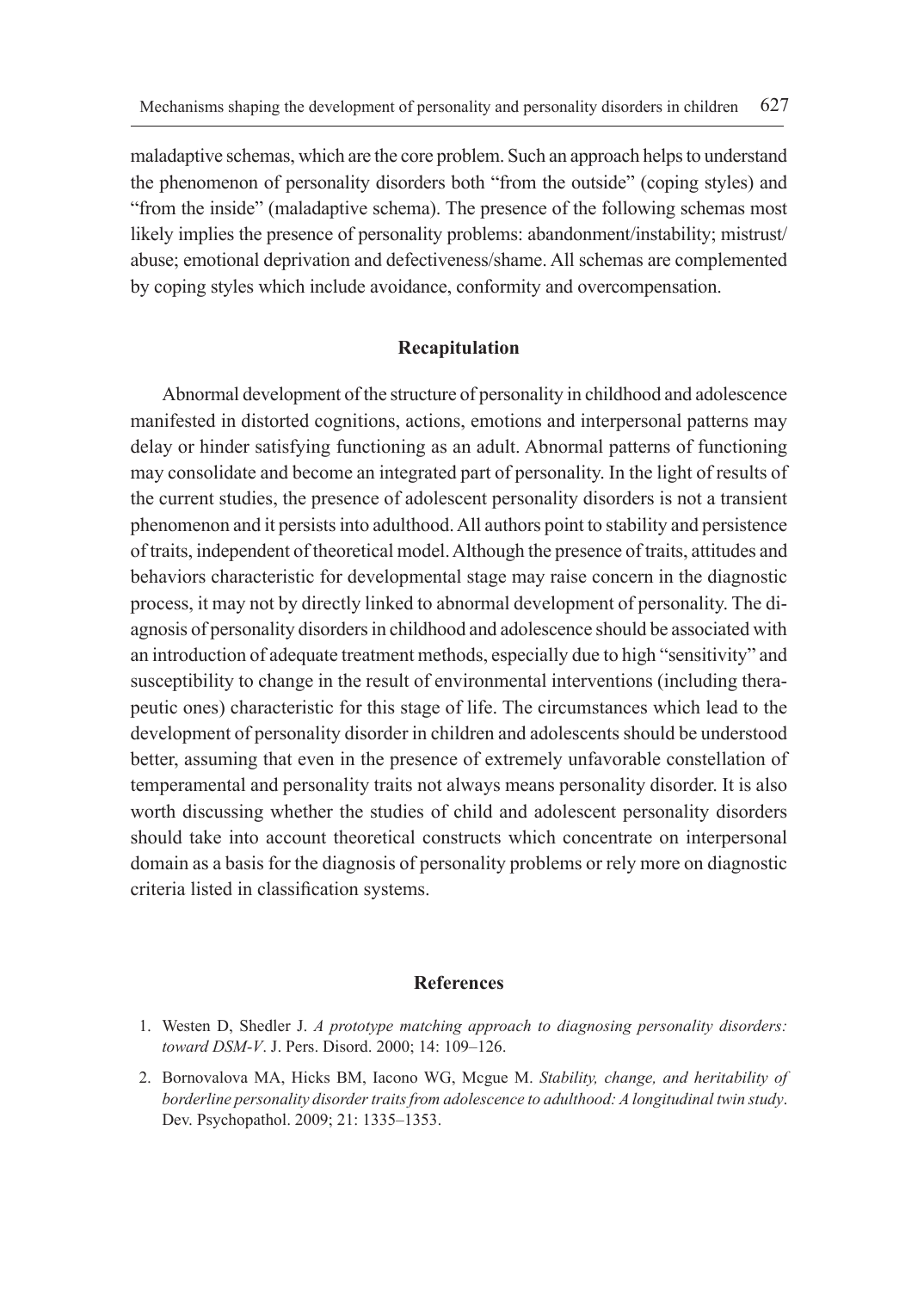maladaptive schemas, which are the core problem. Such an approach helps to understand the phenomenon of personality disorders both "from the outside" (coping styles) and "from the inside" (maladaptive schema). The presence of the following schemas most likely implies the presence of personality problems: abandonment/instability; mistrust/ abuse; emotional deprivation and defectiveness/shame. All schemas are complemented by coping styles which include avoidance, conformity and overcompensation.

### **Recapitulation**

Abnormal development of the structure of personality in childhood and adolescence manifested in distorted cognitions, actions, emotions and interpersonal patterns may delay or hinder satisfying functioning as an adult. Abnormal patterns of functioning may consolidate and become an integrated part of personality. In the light of results of the current studies, the presence of adolescent personality disorders is not a transient phenomenon and it persists into adulthood. All authors point to stability and persistence of traits, independent of theoretical model. Although the presence of traits, attitudes and behaviors characteristic for developmental stage may raise concern in the diagnostic process, it may not by directly linked to abnormal development of personality. The diagnosis of personality disorders in childhood and adolescence should be associated with an introduction of adequate treatment methods, especially due to high "sensitivity" and susceptibility to change in the result of environmental interventions (including therapeutic ones) characteristic for this stage of life. The circumstances which lead to the development of personality disorder in children and adolescents should be understood better, assuming that even in the presence of extremely unfavorable constellation of temperamental and personality traits not always means personality disorder. It is also worth discussing whether the studies of child and adolescent personality disorders should take into account theoretical constructs which concentrate on interpersonal domain as a basis for the diagnosis of personality problems or rely more on diagnostic criteria listed in classification systems.

## **References**

- 1. Westen D, Shedler J. *A prototype matching approach to diagnosing personality disorders: toward DSM-V*. J. Pers. Disord. 2000; 14: 109–126.
- 2. Bornovalova MA, Hicks BM, Iacono WG, Mcgue M. *Stability, change, and heritability of borderline personality disorder traits from adolescence to adulthood: A longitudinal twin study*. Dev. Psychopathol. 2009; 21: 1335–1353.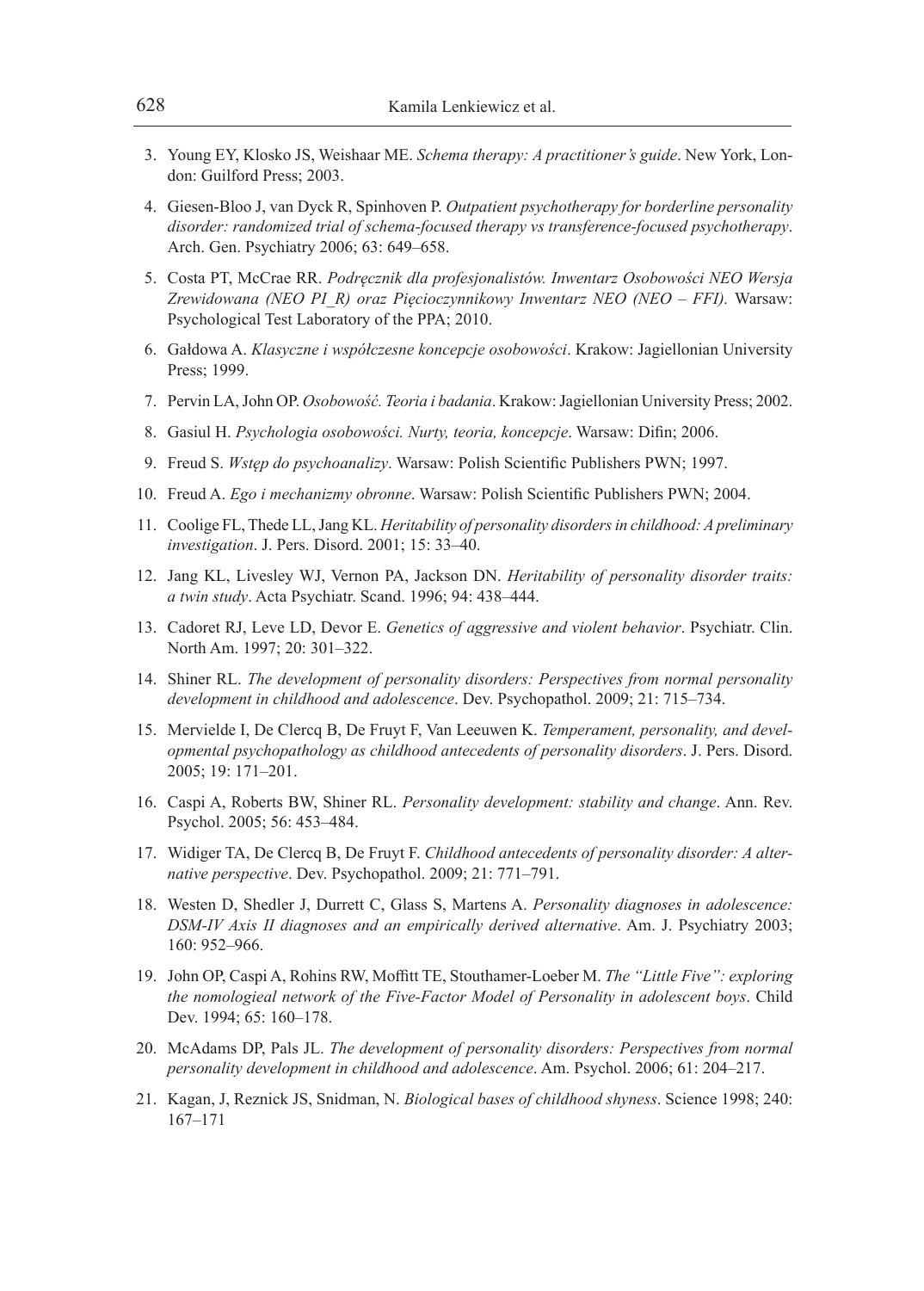- 3. Young EY, Klosko JS, Weishaar ME. *Schema therapy: A practitioner's guide*. New York, London: Guilford Press; 2003.
- 4. Giesen-Bloo J, van Dyck R, Spinhoven P. *Outpatient psychotherapy for borderline personality disorder: randomized trial of schema-focused therapy vs transference-focused psychotherapy*. Arch. Gen. Psychiatry 2006; 63: 649–658.
- 5. Costa PT, McCrae RR. *Podręcznik dla profesjonalistów. Inwentarz Osobowości NEO Wersja Zrewidowana (NEO PI\_R) oraz Pięcioczynnikowy Inwentarz NEO (NEO – FFI).* Warsaw: Psychological Test Laboratory of the PPA; 2010.
- 6. Gałdowa A. *Klasyczne i współczesne koncepcje osobowości*. Krakow: Jagiellonian University Press; 1999.
- 7. Pervin LA, John OP. *Osobowość. Teoria i badania*. Krakow: Jagiellonian University Press; 2002.
- 8. Gasiul H. *Psychologia osobowości. Nurty, teoria, koncepcje*. Warsaw: Difin; 2006.
- 9. Freud S. *Wstęp do psychoanalizy*. Warsaw: Polish Scientific Publishers PWN; 1997.
- 10. Freud A. *Ego i mechanizmy obronne*. Warsaw: Polish Scientific Publishers PWN; 2004.
- 11. Coolige FL, Thede LL, Jang KL. *Heritability of personality disorders in childhood: A preliminary investigation*. J. Pers. Disord. 2001; 15: 33–40.
- 12. Jang KL, Livesley WJ, Vernon PA, Jackson DN. *Heritability of personality disorder traits: a twin study*. Acta Psychiatr. Scand. 1996; 94: 438–444.
- 13. Cadoret RJ, Leve LD, Devor E. *Genetics of aggressive and violent behavior*. Psychiatr. Clin. North Am. 1997; 20: 301–322.
- 14. Shiner RL. *The development of personality disorders: Perspectives from normal personality development in childhood and adolescence*. Dev. Psychopathol. 2009; 21: 715–734.
- 15. Mervielde I, De Clercq B, De Fruyt F, Van Leeuwen K. *Temperament, personality, and developmental psychopathology as childhood antecedents of personality disorders*. J. Pers. Disord. 2005; 19: 171–201.
- 16. Caspi A, Roberts BW, Shiner RL. *Personality development: stability and change*. Ann. Rev. Psychol. 2005; 56: 453–484.
- 17. Widiger TA, De Clercq B, De Fruyt F. *Childhood antecedents of personality disorder: A alternative perspective*. Dev. Psychopathol. 2009; 21: 771–791.
- 18. Westen D, Shedler J, Durrett C, Glass S, Martens A. *Personality diagnoses in adolescence: DSM-IV Axis II diagnoses and an empirically derived alternative*. Am. J. Psychiatry 2003; 160: 952–966.
- 19. John OP, Caspi A, Rohins RW, Moffitt TE, Stouthamer-Loeber M. *The "Little Five": exploring the nomologieal network of the Five-Factor Model of Personality in adolescent boys*. Child Dev. 1994; 65: 160–178.
- 20. McAdams DP, Pals JL. *The development of personality disorders: Perspectives from normal personality development in childhood and adolescence*. Am. Psychol. 2006; 61: 204–217.
- 21. Kagan, J, Reznick JS, Snidman, N. *Biological bases of childhood shyness*. Science 1998; 240: 167–171